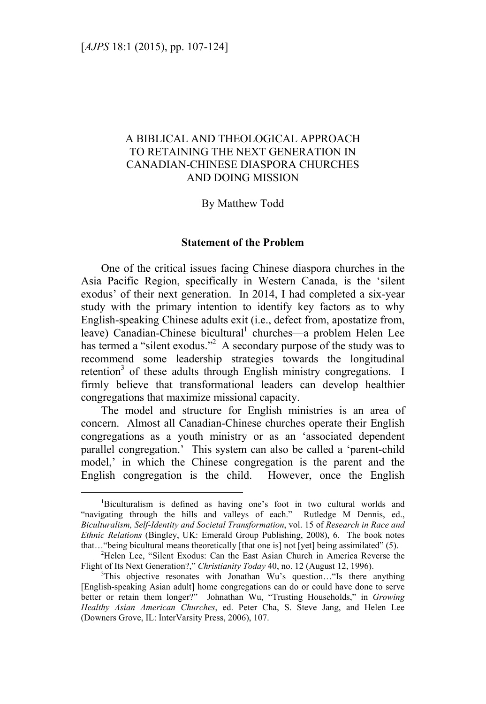# A BIBLICAL AND THEOLOGICAL APPROACH TO RETAINING THE NEXT GENERATION IN CANADIAN-CHINESE DIASPORA CHURCHES AND DOING MISSION

### By Matthew Todd

#### **Statement of the Problem**

One of the critical issues facing Chinese diaspora churches in the Asia Pacific Region, specifically in Western Canada, is the 'silent exodus' of their next generation. In 2014, I had completed a six-year study with the primary intention to identify key factors as to why English-speaking Chinese adults exit (i.e., defect from, apostatize from, leave) Canadian-Chinese bicultural<sup>1</sup> churches—a problem Helen Lee has termed a "silent exodus."<sup>2</sup> A secondary purpose of the study was to recommend some leadership strategies towards the longitudinal retention<sup>3</sup> of these adults through English ministry congregations. I firmly believe that transformational leaders can develop healthier congregations that maximize missional capacity.

The model and structure for English ministries is an area of concern. Almost all Canadian-Chinese churches operate their English congregations as a youth ministry or as an 'associated dependent parallel congregation.' This system can also be called a 'parent-child model,' in which the Chinese congregation is the parent and the English congregation is the child. However, once the English

 $\frac{1}{1}$ Biculturalism is defined as having one's foot in two cultural worlds and "navigating through the hills and valleys of each." Rutledge M Dennis, ed., *Biculturalism, Self-Identity and Societal Transformation*, vol. 15 of *Research in Race and Ethnic Relations* (Bingley, UK: Emerald Group Publishing, 2008), 6. The book notes that…"being bicultural means theoretically [that one is] not [yet] being assimilated" (5). 2

<sup>&</sup>lt;sup>2</sup>Helen Lee, "Silent Exodus: Can the East Asian Church in America Reverse the Flight of Its Next Generation?," *Christianity Today* 40, no. 12 (August 12, 1996).

 $3$ This objective resonates with Jonathan Wu's question... Is there anything [English-speaking Asian adult] home congregations can do or could have done to serve better or retain them longer?" Johnathan Wu, "Trusting Households," in *Growing Healthy Asian American Churches*, ed. Peter Cha, S. Steve Jang, and Helen Lee (Downers Grove, IL: InterVarsity Press, 2006), 107.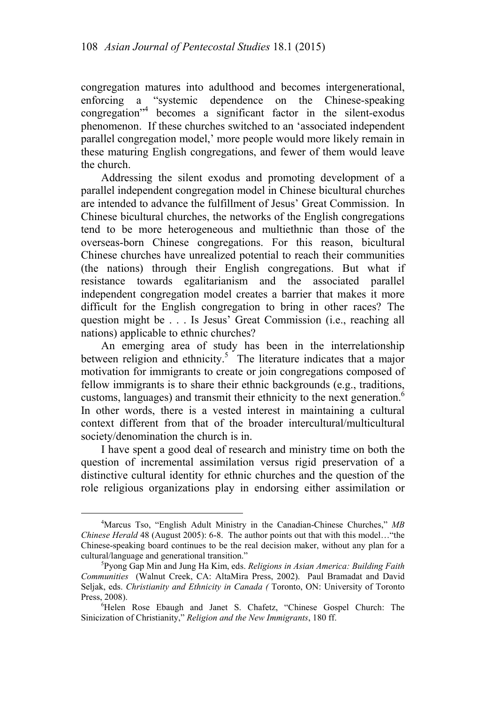congregation matures into adulthood and becomes intergenerational, enforcing a "systemic dependence on the Chinese-speaking congregation"4 becomes a significant factor in the silent-exodus phenomenon. If these churches switched to an 'associated independent parallel congregation model,' more people would more likely remain in these maturing English congregations, and fewer of them would leave the church.

Addressing the silent exodus and promoting development of a parallel independent congregation model in Chinese bicultural churches are intended to advance the fulfillment of Jesus' Great Commission. In Chinese bicultural churches, the networks of the English congregations tend to be more heterogeneous and multiethnic than those of the overseas-born Chinese congregations. For this reason, bicultural Chinese churches have unrealized potential to reach their communities (the nations) through their English congregations. But what if resistance towards egalitarianism and the associated parallel independent congregation model creates a barrier that makes it more difficult for the English congregation to bring in other races? The question might be . . . Is Jesus' Great Commission (i.e., reaching all nations) applicable to ethnic churches?

An emerging area of study has been in the interrelationship between religion and ethnicity.<sup>5</sup> The literature indicates that a major motivation for immigrants to create or join congregations composed of fellow immigrants is to share their ethnic backgrounds (e.g., traditions, customs, languages) and transmit their ethnicity to the next generation. $6$ In other words, there is a vested interest in maintaining a cultural context different from that of the broader intercultural/multicultural society/denomination the church is in.

I have spent a good deal of research and ministry time on both the question of incremental assimilation versus rigid preservation of a distinctive cultural identity for ethnic churches and the question of the role religious organizations play in endorsing either assimilation or

 $\frac{1}{4}$ <sup>4</sup>Marcus Tso, "English Adult Ministry in the Canadian-Chinese Churches," MB *Chinese Herald* 48 (August 2005): 6-8. The author points out that with this model…"the Chinese-speaking board continues to be the real decision maker, without any plan for a cultural/language and generational transition." 5

Pyong Gap Min and Jung Ha Kim, eds. *Religions in Asian America: Building Faith Communities* (Walnut Creek, CA: AltaMira Press, 2002). Paul Bramadat and David Seljak, eds. *Christianity and Ethnicity in Canada (* Toronto, ON: University of Toronto Press, 2008).

<sup>&</sup>lt;sup>6</sup>Helen Rose Ebaugh and Janet S. Chafetz, "Chinese Gospel Church: The Sinicization of Christianity," *Religion and the New Immigrants*, 180 ff.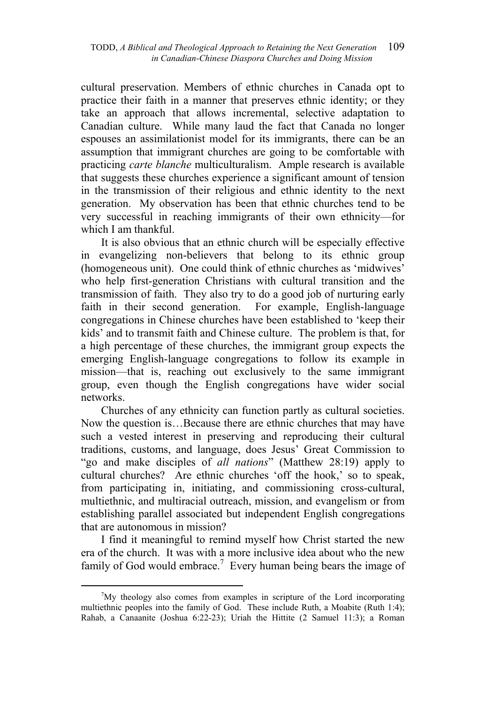cultural preservation. Members of ethnic churches in Canada opt to practice their faith in a manner that preserves ethnic identity; or they take an approach that allows incremental, selective adaptation to Canadian culture. While many laud the fact that Canada no longer espouses an assimilationist model for its immigrants, there can be an assumption that immigrant churches are going to be comfortable with practicing *carte blanche* multiculturalism. Ample research is available that suggests these churches experience a significant amount of tension in the transmission of their religious and ethnic identity to the next generation. My observation has been that ethnic churches tend to be very successful in reaching immigrants of their own ethnicity—for which I am thankful.

It is also obvious that an ethnic church will be especially effective in evangelizing non-believers that belong to its ethnic group (homogeneous unit). One could think of ethnic churches as 'midwives' who help first-generation Christians with cultural transition and the transmission of faith. They also try to do a good job of nurturing early faith in their second generation. For example, English-language congregations in Chinese churches have been established to 'keep their kids' and to transmit faith and Chinese culture. The problem is that, for a high percentage of these churches, the immigrant group expects the emerging English-language congregations to follow its example in mission—that is, reaching out exclusively to the same immigrant group, even though the English congregations have wider social networks.

Churches of any ethnicity can function partly as cultural societies. Now the question is…Because there are ethnic churches that may have such a vested interest in preserving and reproducing their cultural traditions, customs, and language, does Jesus' Great Commission to "go and make disciples of *all nations*" (Matthew 28:19) apply to cultural churches? Are ethnic churches 'off the hook,' so to speak, from participating in, initiating, and commissioning cross-cultural, multiethnic, and multiracial outreach, mission, and evangelism or from establishing parallel associated but independent English congregations that are autonomous in mission?

I find it meaningful to remind myself how Christ started the new era of the church. It was with a more inclusive idea about who the new family of God would embrace.<sup>7</sup> Every human being bears the image of

 $\frac{1}{7}$  $\gamma$ <sup>7</sup>My theology also comes from examples in scripture of the Lord incorporating multiethnic peoples into the family of God. These include Ruth, a Moabite (Ruth 1:4); Rahab, a Canaanite (Joshua 6:22-23); Uriah the Hittite (2 Samuel 11:3); a Roman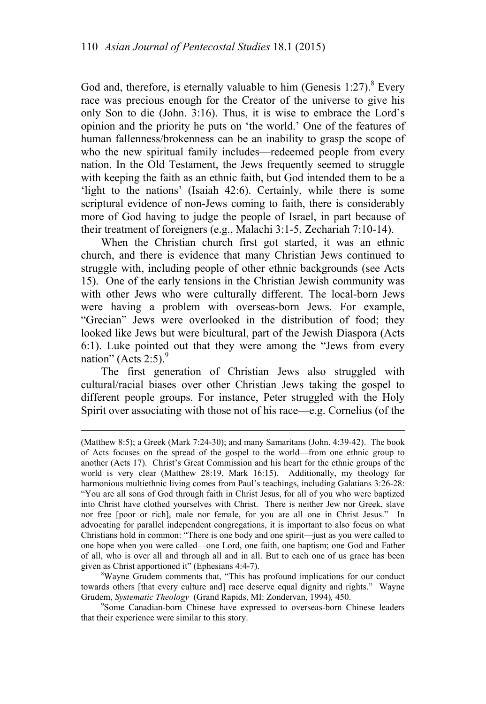God and, therefore, is eternally valuable to him (Genesis  $1:27$ ).<sup>8</sup> Every race was precious enough for the Creator of the universe to give his only Son to die (John. 3:16). Thus, it is wise to embrace the Lord's opinion and the priority he puts on 'the world.' One of the features of human fallenness/brokenness can be an inability to grasp the scope of who the new spiritual family includes—redeemed people from every nation. In the Old Testament, the Jews frequently seemed to struggle with keeping the faith as an ethnic faith, but God intended them to be a 'light to the nations' (Isaiah 42:6). Certainly, while there is some scriptural evidence of non-Jews coming to faith, there is considerably more of God having to judge the people of Israel, in part because of their treatment of foreigners (e.g., Malachi 3:1-5, Zechariah 7:10-14).

When the Christian church first got started, it was an ethnic church, and there is evidence that many Christian Jews continued to struggle with, including people of other ethnic backgrounds (see Acts 15). One of the early tensions in the Christian Jewish community was with other Jews who were culturally different. The local-born Jews were having a problem with overseas-born Jews. For example, "Grecian" Jews were overlooked in the distribution of food; they looked like Jews but were bicultural, part of the Jewish Diaspora (Acts 6:1). Luke pointed out that they were among the "Jews from every nation" (Acts 2:5). $9$ 

The first generation of Christian Jews also struggled with cultural/racial biases over other Christian Jews taking the gospel to different people groups. For instance, Peter struggled with the Holy Spirit over associating with those not of his race—e.g. Cornelius (of the

 $\overline{a}$ 

Wayne Grudem comments that, "This has profound implications for our conduct towards others [that every culture and] race deserve equal dignity and rights." Wayne Grudem, *Systematic Theology* (Grand Rapids, MI: Zondervan, 1994)*,* 450. 9

<sup>9</sup>Some Canadian-born Chinese have expressed to overseas-born Chinese leaders that their experience were similar to this story.

<sup>(</sup>Matthew 8:5); a Greek (Mark 7:24-30); and many Samaritans (John. 4:39-42). The book of Acts focuses on the spread of the gospel to the world—from one ethnic group to another (Acts 17). Christ's Great Commission and his heart for the ethnic groups of the world is very clear (Matthew 28:19, Mark 16:15). Additionally, my theology for harmonious multiethnic living comes from Paul's teachings, including Galatians 3:26-28: "You are all sons of God through faith in Christ Jesus, for all of you who were baptized into Christ have clothed yourselves with Christ. There is neither Jew nor Greek, slave nor free [poor or rich], male nor female, for you are all one in Christ Jesus." In advocating for parallel independent congregations, it is important to also focus on what Christians hold in common: "There is one body and one spirit—just as you were called to one hope when you were called—one Lord, one faith, one baptism; one God and Father of all, who is over all and through all and in all. But to each one of us grace has been given as Christ apportioned it" (Ephesians 4:4-7).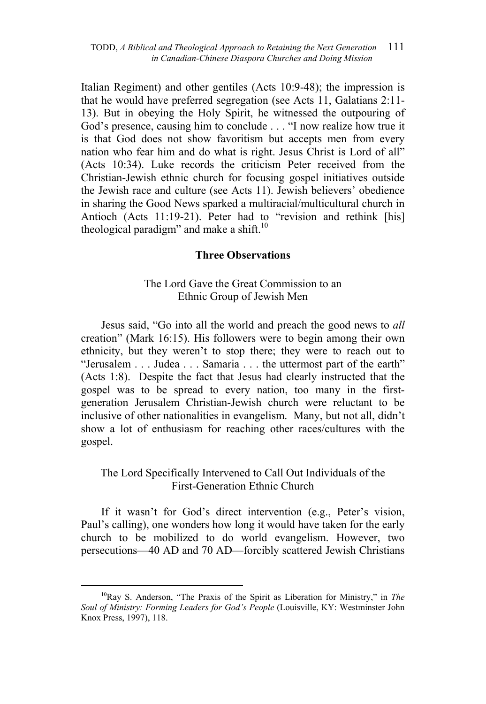Italian Regiment) and other gentiles (Acts 10:9-48); the impression is that he would have preferred segregation (see Acts 11, Galatians 2:11- 13). But in obeying the Holy Spirit, he witnessed the outpouring of God's presence, causing him to conclude . . . "I now realize how true it is that God does not show favoritism but accepts men from every nation who fear him and do what is right. Jesus Christ is Lord of all" (Acts 10:34). Luke records the criticism Peter received from the Christian-Jewish ethnic church for focusing gospel initiatives outside the Jewish race and culture (see Acts 11). Jewish believers' obedience in sharing the Good News sparked a multiracial/multicultural church in Antioch (Acts 11:19-21). Peter had to "revision and rethink [his] theological paradigm" and make a shift. $10$ 

### **Three Observations**

### The Lord Gave the Great Commission to an Ethnic Group of Jewish Men

Jesus said, "Go into all the world and preach the good news to *all* creation" (Mark 16:15). His followers were to begin among their own ethnicity, but they weren't to stop there; they were to reach out to "Jerusalem . . . Judea . . . Samaria . . . the uttermost part of the earth" (Acts 1:8). Despite the fact that Jesus had clearly instructed that the gospel was to be spread to every nation, too many in the firstgeneration Jerusalem Christian-Jewish church were reluctant to be inclusive of other nationalities in evangelism. Many, but not all, didn't show a lot of enthusiasm for reaching other races/cultures with the gospel.

# The Lord Specifically Intervened to Call Out Individuals of the First-Generation Ethnic Church

If it wasn't for God's direct intervention (e.g., Peter's vision, Paul's calling), one wonders how long it would have taken for the early church to be mobilized to do world evangelism. However, two persecutions—40 AD and 70 AD—forcibly scattered Jewish Christians

<sup>&</sup>lt;sup>10</sup>Ray S. Anderson, "The Praxis of the Spirit as Liberation for Ministry," in *The Soul of Ministry: Forming Leaders for God's People* (Louisville, KY: Westminster John Knox Press, 1997), 118.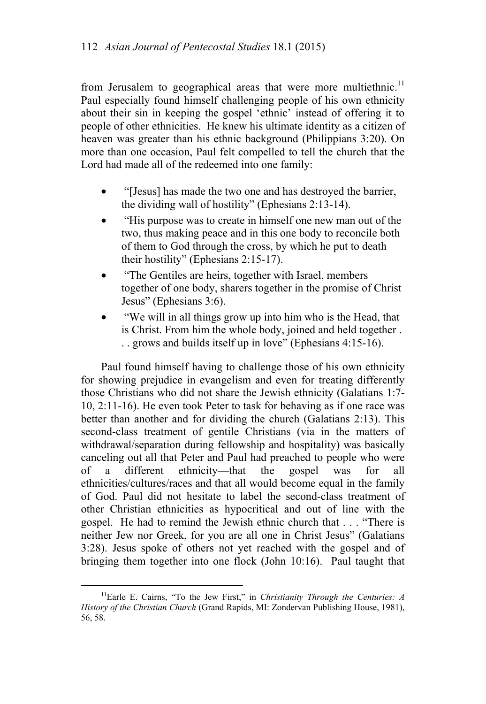from Jerusalem to geographical areas that were more multiethnic.<sup>11</sup> Paul especially found himself challenging people of his own ethnicity about their sin in keeping the gospel 'ethnic' instead of offering it to people of other ethnicities. He knew his ultimate identity as a citizen of heaven was greater than his ethnic background (Philippians 3:20). On more than one occasion, Paul felt compelled to tell the church that the Lord had made all of the redeemed into one family:

- "[Jesus] has made the two one and has destroyed the barrier, the dividing wall of hostility" (Ephesians 2:13-14).
- "His purpose was to create in himself one new man out of the two, thus making peace and in this one body to reconcile both of them to God through the cross, by which he put to death their hostility" (Ephesians 2:15-17).
- "The Gentiles are heirs, together with Israel, members together of one body, sharers together in the promise of Christ Jesus" (Ephesians 3:6).
- "We will in all things grow up into him who is the Head, that is Christ. From him the whole body, joined and held together . . . grows and builds itself up in love" (Ephesians 4:15-16).

Paul found himself having to challenge those of his own ethnicity for showing prejudice in evangelism and even for treating differently those Christians who did not share the Jewish ethnicity (Galatians 1:7- 10, 2:11-16). He even took Peter to task for behaving as if one race was better than another and for dividing the church (Galatians 2:13). This second-class treatment of gentile Christians (via in the matters of withdrawal/separation during fellowship and hospitality) was basically canceling out all that Peter and Paul had preached to people who were of a different ethnicity—that the gospel was for all ethnicities/cultures/races and that all would become equal in the family of God. Paul did not hesitate to label the second-class treatment of other Christian ethnicities as hypocritical and out of line with the gospel. He had to remind the Jewish ethnic church that . . . "There is neither Jew nor Greek, for you are all one in Christ Jesus" (Galatians 3:28). Jesus spoke of others not yet reached with the gospel and of bringing them together into one flock (John 10:16). Paul taught that

 <sup>11</sup>Earle E. Cairns, "To the Jew First," in *Christianity Through the Centuries: A History of the Christian Church* (Grand Rapids, MI: Zondervan Publishing House, 1981), 56, 58.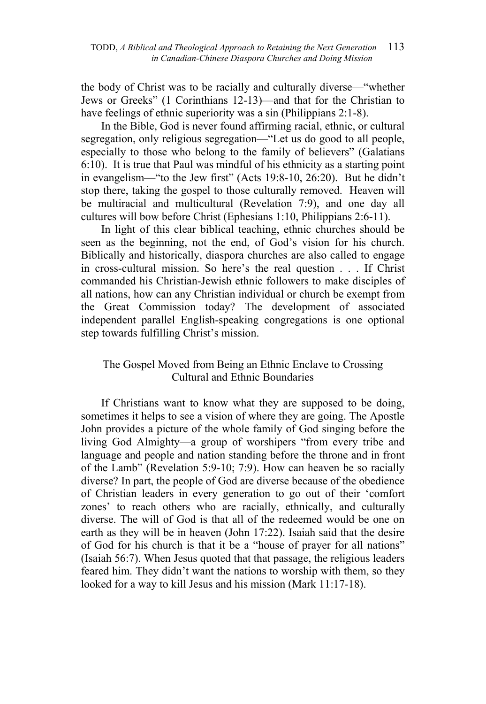the body of Christ was to be racially and culturally diverse—"whether Jews or Greeks" (1 Corinthians 12-13)—and that for the Christian to have feelings of ethnic superiority was a sin (Philippians 2:1-8).

In the Bible, God is never found affirming racial, ethnic, or cultural segregation, only religious segregation—"Let us do good to all people, especially to those who belong to the family of believers" (Galatians 6:10). It is true that Paul was mindful of his ethnicity as a starting point in evangelism—"to the Jew first" (Acts 19:8-10, 26:20). But he didn't stop there, taking the gospel to those culturally removed. Heaven will be multiracial and multicultural (Revelation 7:9), and one day all cultures will bow before Christ (Ephesians 1:10, Philippians 2:6-11).

In light of this clear biblical teaching, ethnic churches should be seen as the beginning, not the end, of God's vision for his church. Biblically and historically, diaspora churches are also called to engage in cross-cultural mission. So here's the real question . . . If Christ commanded his Christian-Jewish ethnic followers to make disciples of all nations, how can any Christian individual or church be exempt from the Great Commission today? The development of associated independent parallel English-speaking congregations is one optional step towards fulfilling Christ's mission.

# The Gospel Moved from Being an Ethnic Enclave to Crossing Cultural and Ethnic Boundaries

If Christians want to know what they are supposed to be doing, sometimes it helps to see a vision of where they are going. The Apostle John provides a picture of the whole family of God singing before the living God Almighty—a group of worshipers "from every tribe and language and people and nation standing before the throne and in front of the Lamb" (Revelation 5:9-10; 7:9). How can heaven be so racially diverse? In part, the people of God are diverse because of the obedience of Christian leaders in every generation to go out of their 'comfort zones' to reach others who are racially, ethnically, and culturally diverse. The will of God is that all of the redeemed would be one on earth as they will be in heaven (John 17:22). Isaiah said that the desire of God for his church is that it be a "house of prayer for all nations" (Isaiah 56:7). When Jesus quoted that that passage, the religious leaders feared him. They didn't want the nations to worship with them, so they looked for a way to kill Jesus and his mission (Mark 11:17-18).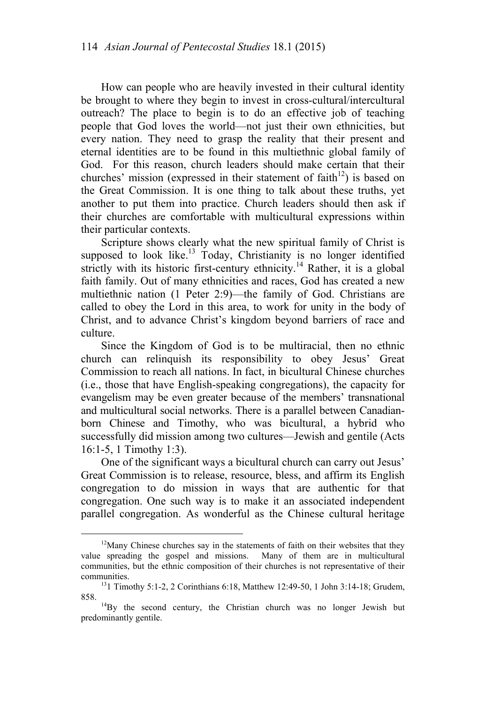How can people who are heavily invested in their cultural identity be brought to where they begin to invest in cross-cultural/intercultural outreach? The place to begin is to do an effective job of teaching people that God loves the world—not just their own ethnicities, but every nation. They need to grasp the reality that their present and eternal identities are to be found in this multiethnic global family of God. For this reason, church leaders should make certain that their churches' mission (expressed in their statement of faith<sup>12</sup>) is based on the Great Commission. It is one thing to talk about these truths, yet another to put them into practice. Church leaders should then ask if their churches are comfortable with multicultural expressions within their particular contexts.

Scripture shows clearly what the new spiritual family of Christ is supposed to look like.<sup>13</sup> Today, Christianity is no longer identified strictly with its historic first-century ethnicity.<sup>14</sup> Rather, it is a global faith family. Out of many ethnicities and races, God has created a new multiethnic nation (1 Peter 2:9)—the family of God. Christians are called to obey the Lord in this area, to work for unity in the body of Christ, and to advance Christ's kingdom beyond barriers of race and culture.

Since the Kingdom of God is to be multiracial, then no ethnic church can relinquish its responsibility to obey Jesus' Great Commission to reach all nations. In fact, in bicultural Chinese churches (i.e., those that have English-speaking congregations), the capacity for evangelism may be even greater because of the members' transnational and multicultural social networks. There is a parallel between Canadianborn Chinese and Timothy, who was bicultural, a hybrid who successfully did mission among two cultures—Jewish and gentile (Acts 16:1-5, 1 Timothy 1:3).

One of the significant ways a bicultural church can carry out Jesus' Great Commission is to release, resource, bless, and affirm its English congregation to do mission in ways that are authentic for that congregation. One such way is to make it an associated independent parallel congregation. As wonderful as the Chinese cultural heritage

 $12$ Many Chinese churches say in the statements of faith on their websites that they value spreading the gospel and missions. Many of them are in multicultural communities, but the ethnic composition of their churches is not representative of their

communities. 131 Timothy 5:1-2, 2 Corinthians 6:18, Matthew 12:49-50, 1 John 3:14-18; Grudem,

<sup>858. 14</sup>By the second century, the Christian church was no longer Jewish but predominantly gentile.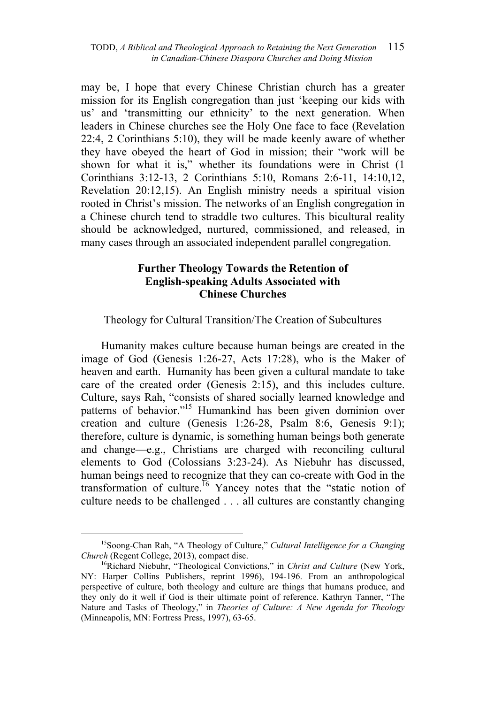may be, I hope that every Chinese Christian church has a greater mission for its English congregation than just 'keeping our kids with us' and 'transmitting our ethnicity' to the next generation. When leaders in Chinese churches see the Holy One face to face (Revelation 22:4, 2 Corinthians 5:10), they will be made keenly aware of whether they have obeyed the heart of God in mission; their "work will be shown for what it is," whether its foundations were in Christ (1 Corinthians 3:12-13, 2 Corinthians 5:10, Romans 2:6-11, 14:10,12, Revelation 20:12,15). An English ministry needs a spiritual vision rooted in Christ's mission. The networks of an English congregation in a Chinese church tend to straddle two cultures. This bicultural reality should be acknowledged, nurtured, commissioned, and released, in many cases through an associated independent parallel congregation.

## **Further Theology Towards the Retention of English-speaking Adults Associated with Chinese Churches**

Theology for Cultural Transition/The Creation of Subcultures

Humanity makes culture because human beings are created in the image of God (Genesis 1:26-27, Acts 17:28), who is the Maker of heaven and earth. Humanity has been given a cultural mandate to take care of the created order (Genesis 2:15), and this includes culture. Culture, says Rah, "consists of shared socially learned knowledge and patterns of behavior."15 Humankind has been given dominion over creation and culture (Genesis 1:26-28, Psalm 8:6, Genesis 9:1); therefore, culture is dynamic, is something human beings both generate and change—e.g., Christians are charged with reconciling cultural elements to God (Colossians 3:23-24). As Niebuhr has discussed, human beings need to recognize that they can co-create with God in the transformation of culture.<sup>16</sup> Yancey notes that the "static notion of culture needs to be challenged . . . all cultures are constantly changing

 <sup>15</sup>Soong-Chan Rah, "A Theology of Culture," *Cultural Intelligence for a Changing Church* (Regent College, 2013), compact disc. 16<br><sup>16</sup>Richard Niebuhr, "Theological Convictions," in *Christ and Culture* (New York,

NY: Harper Collins Publishers, reprint 1996), 194-196. From an anthropological perspective of culture, both theology and culture are things that humans produce, and they only do it well if God is their ultimate point of reference. Kathryn Tanner, "The Nature and Tasks of Theology," in *Theories of Culture: A New Agenda for Theology* (Minneapolis, MN: Fortress Press, 1997), 63-65.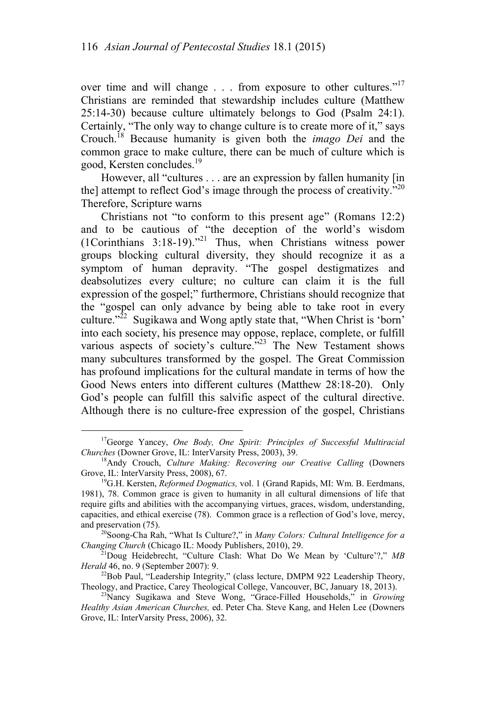over time and will change . . . from exposure to other cultures."<sup>17</sup> Christians are reminded that stewardship includes culture (Matthew 25:14-30) because culture ultimately belongs to God (Psalm 24:1). Certainly, "The only way to change culture is to create more of it," says Crouch.18 Because humanity is given both the *imago Dei* and the common grace to make culture, there can be much of culture which is good, Kersten concludes.19

However, all "cultures . . . are an expression by fallen humanity [in the] attempt to reflect God's image through the process of creativity. $^{520}$ Therefore, Scripture warns

Christians not "to conform to this present age" (Romans 12:2) and to be cautious of "the deception of the world's wisdom (1Corinthians 3:18-19)."21 Thus, when Christians witness power groups blocking cultural diversity, they should recognize it as a symptom of human depravity. "The gospel destigmatizes and deabsolutizes every culture; no culture can claim it is the full expression of the gospel;" furthermore, Christians should recognize that the "gospel can only advance by being able to take root in every culture. $2^{22}$  Sugikawa and Wong aptly state that, "When Christ is 'born' into each society, his presence may oppose, replace, complete, or fulfill various aspects of society's culture."<sup>23</sup> The New Testament shows many subcultures transformed by the gospel. The Great Commission has profound implications for the cultural mandate in terms of how the Good News enters into different cultures (Matthew 28:18-20). Only God's people can fulfill this salvific aspect of the cultural directive. Although there is no culture-free expression of the gospel, Christians

 <sup>17</sup>George Yancey, *One Body, One Spirit: Principles of Successful Multiracial* 

*Churches* (Downer Grove, IL: InterVarsity Press, 2003), 39.<br><sup>18</sup>Andy Crouch, *Culture Making: Recovering our Creative Calling* (Downers Grove, IL: InterVarsity Press, 2008), 67.

<sup>&</sup>lt;sup>19</sup>G.H. Kersten, *Reformed Dogmatics*, vol. 1 (Grand Rapids, MI: Wm. B. Eerdmans, 1981), 78. Common grace is given to humanity in all cultural dimensions of life that require gifts and abilities with the accompanying virtues, graces, wisdom, understanding, capacities, and ethical exercise (78). Common grace is a reflection of God's love, mercy,

and preservation (75).<br><sup>20</sup>Soong-Cha Rah, "What Is Culture?," in *Many Colors: Cultural Intelligence for a Changing Church* (Chicago IL: Moody Publishers, 2010), 29.

<sup>&</sup>lt;sup>21</sup>Doug Heidebrecht, "Culture Clash: What Do We Mean by 'Culture'?," *MB Herald* 46, no. 9 (September 2007): 9.

 $^{22}$ Bob Paul, "Leadership Integrity," (class lecture, DMPM 922 Leadership Theory, Theology, and Practice, Carey Theological College, Vancouver, BC, January 18, 2013).

<sup>&</sup>lt;sup>23</sup>Nancy Sugikawa and Steve Wong, "Grace-Filled Households," in *Growing Healthy Asian American Churches,* ed. Peter Cha. Steve Kang, and Helen Lee (Downers Grove, IL: InterVarsity Press, 2006), 32.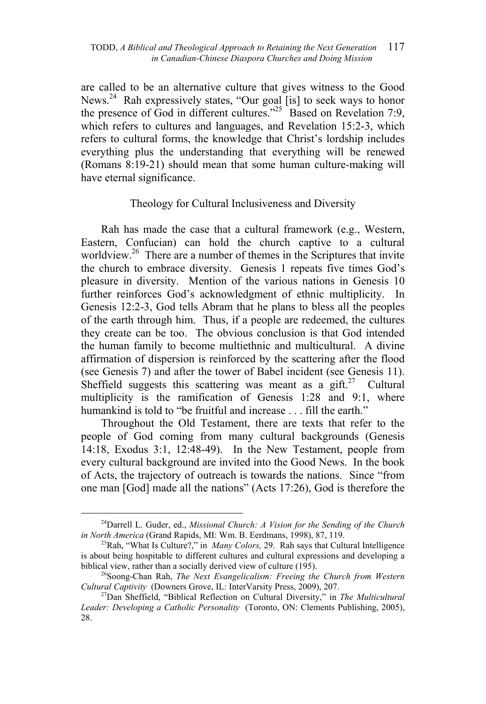are called to be an alternative culture that gives witness to the Good News.<sup>24</sup> Rah expressively states, "Our goal [is] to seek ways to honor the presence of God in different cultures."<sup>25</sup> Based on Revelation 7:9, which refers to cultures and languages, and Revelation 15:2-3, which refers to cultural forms, the knowledge that Christ's lordship includes everything plus the understanding that everything will be renewed (Romans 8:19-21) should mean that some human culture-making will have eternal significance.

### Theology for Cultural Inclusiveness and Diversity

Rah has made the case that a cultural framework (e.g., Western, Eastern, Confucian) can hold the church captive to a cultural worldview.<sup>26</sup> There are a number of themes in the Scriptures that invite the church to embrace diversity. Genesis 1 repeats five times God's pleasure in diversity. Mention of the various nations in Genesis 10 further reinforces God's acknowledgment of ethnic multiplicity. In Genesis 12:2-3, God tells Abram that he plans to bless all the peoples of the earth through him. Thus, if a people are redeemed, the cultures they create can be too. The obvious conclusion is that God intended the human family to become multiethnic and multicultural. A divine affirmation of dispersion is reinforced by the scattering after the flood (see Genesis 7) and after the tower of Babel incident (see Genesis 11). Sheffield suggests this scattering was meant as a gift.<sup>27</sup> Cultural multiplicity is the ramification of Genesis 1:28 and 9:1, where humankind is told to "be fruitful and increase . . . fill the earth."

Throughout the Old Testament, there are texts that refer to the people of God coming from many cultural backgrounds (Genesis 14:18, Exodus 3:1, 12:48-49). In the New Testament, people from every cultural background are invited into the Good News. In the book of Acts, the trajectory of outreach is towards the nations. Since "from one man [God] made all the nations" (Acts 17:26), God is therefore the

<sup>&</sup>lt;sup>24</sup>Darrell L. Guder, ed., *Missional Church: A Vision for the Sending of the Church in North America* (Grand Rapids, MI: Wm. B. Eerdmans, 1998), 87, 119.

<sup>&</sup>lt;sup>25</sup>Rah, "What Is Culture?," in *Many Colors*, 29. Rah says that Cultural Intelligence is about being hospitable to different cultures and cultural expressions and developing a biblical view, rather than a socially derived view of culture (195).<br><sup>26</sup>Soong-Chan Rah, *The Next Evangelicalism: Freeing the Church from Western* 

*Cultural Captivity* (Downers Grove, IL: InterVarsity Press, 2009), 207.<br><sup>27</sup>Dan Sheffield, "Biblical Reflection on Cultural Diversity," in *The Multicultural* 

*Leader: Developing a Catholic Personality* (Toronto, ON: Clements Publishing, 2005), 28.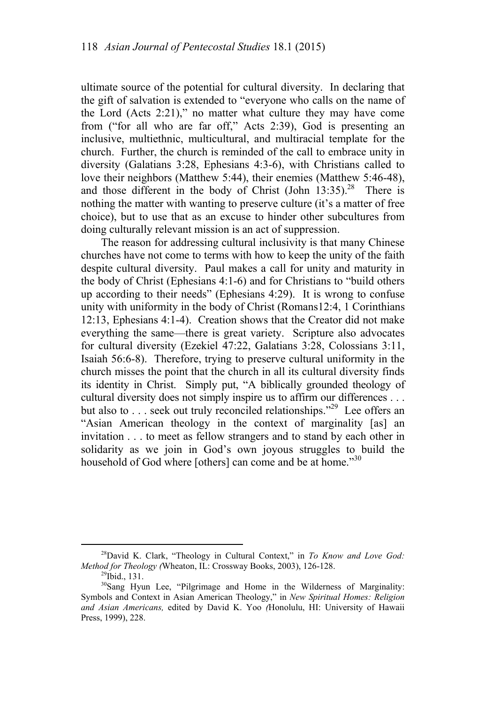ultimate source of the potential for cultural diversity. In declaring that the gift of salvation is extended to "everyone who calls on the name of the Lord (Acts 2:21)," no matter what culture they may have come from ("for all who are far off," Acts 2:39), God is presenting an inclusive, multiethnic, multicultural, and multiracial template for the church. Further, the church is reminded of the call to embrace unity in diversity (Galatians 3:28, Ephesians 4:3-6), with Christians called to love their neighbors (Matthew 5:44), their enemies (Matthew 5:46-48), and those different in the body of Christ (John  $13:35$ ).<sup>28</sup> There is nothing the matter with wanting to preserve culture (it's a matter of free choice), but to use that as an excuse to hinder other subcultures from doing culturally relevant mission is an act of suppression.

The reason for addressing cultural inclusivity is that many Chinese churches have not come to terms with how to keep the unity of the faith despite cultural diversity. Paul makes a call for unity and maturity in the body of Christ (Ephesians 4:1-6) and for Christians to "build others up according to their needs" (Ephesians 4:29). It is wrong to confuse unity with uniformity in the body of Christ (Romans12:4, 1 Corinthians 12:13, Ephesians 4:1-4). Creation shows that the Creator did not make everything the same—there is great variety. Scripture also advocates for cultural diversity (Ezekiel 47:22, Galatians 3:28, Colossians 3:11, Isaiah 56:6-8). Therefore, trying to preserve cultural uniformity in the church misses the point that the church in all its cultural diversity finds its identity in Christ. Simply put, "A biblically grounded theology of cultural diversity does not simply inspire us to affirm our differences . . . but also to . . . seek out truly reconciled relationships."<sup>29</sup> Lee offers an "Asian American theology in the context of marginality [as] an invitation . . . to meet as fellow strangers and to stand by each other in solidarity as we join in God's own joyous struggles to build the household of God where [others] can come and be at home.<sup>330</sup>

 <sup>28</sup>David K. Clark, "Theology in Cultural Context," in *To Know and Love God: Method for Theology (Wheaton, IL: Crossway Books, 2003), 126-128.* <sup>29</sup>Ibid., 131.

<sup>30</sup>Sang Hyun Lee, "Pilgrimage and Home in the Wilderness of Marginality: Symbols and Context in Asian American Theology," in *New Spiritual Homes: Religion and Asian Americans,* edited by David K. Yoo *(*Honolulu, HI: University of Hawaii Press, 1999), 228.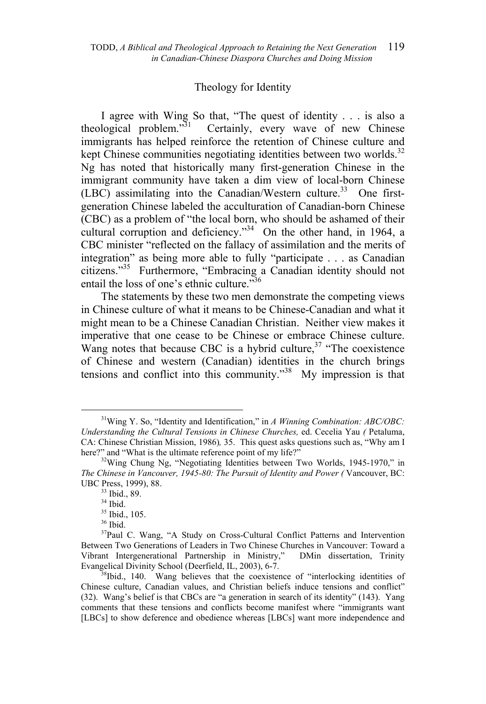#### Theology for Identity

I agree with Wing So that, "The quest of identity . . . is also a theological problem. $\mathfrak{I}^{31}$  Certainly, every wave of new Chinese immigrants has helped reinforce the retention of Chinese culture and kept Chinese communities negotiating identities between two worlds.<sup>32</sup> Ng has noted that historically many first-generation Chinese in the immigrant community have taken a dim view of local-born Chinese (LBC) assimilating into the Canadian/Western culture.<sup>33</sup> One firstgeneration Chinese labeled the acculturation of Canadian-born Chinese (CBC) as a problem of "the local born, who should be ashamed of their cultural corruption and deficiency. $^{334}$  On the other hand, in 1964, a CBC minister "reflected on the fallacy of assimilation and the merits of integration" as being more able to fully "participate . . . as Canadian citizens."35 Furthermore, "Embracing a Canadian identity should not entail the loss of one's ethnic culture."<sup>36</sup>

The statements by these two men demonstrate the competing views in Chinese culture of what it means to be Chinese-Canadian and what it might mean to be a Chinese Canadian Christian. Neither view makes it imperative that one cease to be Chinese or embrace Chinese culture. Wang notes that because CBC is a hybrid culture,  $37$  "The coexistence of Chinese and western (Canadian) identities in the church brings tensions and conflict into this community."<sup>38</sup> My impression is that

 <sup>31</sup>Wing Y. So, "Identity and Identification," in *A Winning Combination: ABC/OBC: Understanding the Cultural Tensions in Chinese Churches,* ed. Cecelia Yau *(* Petaluma, CA: Chinese Christian Mission, 1986)*,* 35. This quest asks questions such as, "Why am I here?" and "What is the ultimate reference point of my life?"  $\frac{32 \text{Wing}}{1245 \text{ m}}$  Chung Ng, "Negotiating Identities between Two Worlds, 1945-1970," in

*The Chinese in Vancouver, 1945-80: The Pursuit of Identity and Power (* Vancouver, BC: UBC Press, 1999), 88.<br><sup>33</sup> Ibid., 89.

<sup>34</sup> Ibid.

<sup>35</sup> Ibid., 105.

<sup>36</sup> Ibid.

<sup>&</sup>lt;sup>37</sup>Paul C. Wang, "A Study on Cross-Cultural Conflict Patterns and Intervention Between Two Generations of Leaders in Two Chinese Churches in Vancouver: Toward a Vibrant Intergenerational Partnership in Ministry," DMin dissertation, Trinity Evangelical Divinity School (Deerfield, IL, 2003), 6-7.<br><sup>38</sup>Ibid., 140. Wang believes that the coexistence of "interlocking identities of

Chinese culture, Canadian values, and Christian beliefs induce tensions and conflict" (32). Wang's belief is that CBCs are "a generation in search of its identity" (143). Yang comments that these tensions and conflicts become manifest where "immigrants want [LBCs] to show deference and obedience whereas [LBCs] want more independence and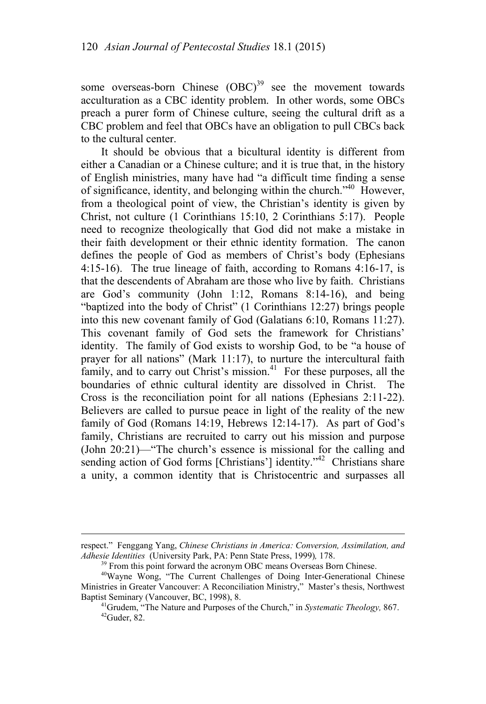some overseas-born Chinese  $(OBC)^{39}$  see the movement towards acculturation as a CBC identity problem. In other words, some OBCs preach a purer form of Chinese culture, seeing the cultural drift as a CBC problem and feel that OBCs have an obligation to pull CBCs back to the cultural center.

It should be obvious that a bicultural identity is different from either a Canadian or a Chinese culture; and it is true that, in the history of English ministries, many have had "a difficult time finding a sense of significance, identity, and belonging within the church."40 However, from a theological point of view, the Christian's identity is given by Christ, not culture (1 Corinthians 15:10, 2 Corinthians 5:17). People need to recognize theologically that God did not make a mistake in their faith development or their ethnic identity formation. The canon defines the people of God as members of Christ's body (Ephesians 4:15-16). The true lineage of faith, according to Romans 4:16-17, is that the descendents of Abraham are those who live by faith. Christians are God's community (John 1:12, Romans 8:14-16), and being "baptized into the body of Christ" (1 Corinthians 12:27) brings people into this new covenant family of God (Galatians 6:10, Romans 11:27). This covenant family of God sets the framework for Christians' identity. The family of God exists to worship God, to be "a house of prayer for all nations" (Mark 11:17), to nurture the intercultural faith family, and to carry out Christ's mission.<sup>41</sup> For these purposes, all the boundaries of ethnic cultural identity are dissolved in Christ. The Cross is the reconciliation point for all nations (Ephesians 2:11-22). Believers are called to pursue peace in light of the reality of the new family of God (Romans 14:19, Hebrews 12:14-17). As part of God's family, Christians are recruited to carry out his mission and purpose (John 20:21)—"The church's essence is missional for the calling and sending action of God forms [Christians'] identity."<sup>42</sup> Christians share a unity, a common identity that is Christocentric and surpasses all

 $\overline{a}$ 

respect." Fenggang Yang, *Chinese Christians in America: Conversion, Assimilation, and Adhesie Identities* (University Park, PA: Penn State Press, 1999), 178.<br><sup>39</sup> From this point forward the acronym OBC means Overseas Born Chinese.<br><sup>40</sup>Wayne Wong, "The Current Challenges of Doing Inter-Generational Chinese

Ministries in Greater Vancouver: A Reconciliation Ministry,"Master's thesis, Northwest

Baptist Seminary (Vancouver, BC, 1998), 8. 41Grudem, "The Nature and Purposes of the Church," in *Systematic Theology,* 867. 42Guder, 82.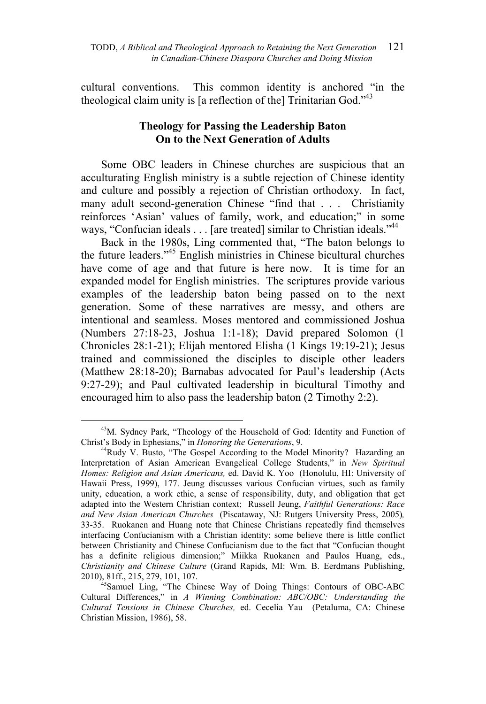cultural conventions. This common identity is anchored "in the theological claim unity is [a reflection of the] Trinitarian God."<sup>43</sup>

## **Theology for Passing the Leadership Baton On to the Next Generation of Adults**

Some OBC leaders in Chinese churches are suspicious that an acculturating English ministry is a subtle rejection of Chinese identity and culture and possibly a rejection of Christian orthodoxy. In fact, many adult second-generation Chinese "find that . . . Christianity reinforces 'Asian' values of family, work, and education;" in some ways, "Confucian ideals . . . [are treated] similar to Christian ideals."<sup>44</sup>

Back in the 1980s, Ling commented that, "The baton belongs to the future leaders."45 English ministries in Chinese bicultural churches have come of age and that future is here now. It is time for an expanded model for English ministries. The scriptures provide various examples of the leadership baton being passed on to the next generation. Some of these narratives are messy, and others are intentional and seamless. Moses mentored and commissioned Joshua (Numbers 27:18-23, Joshua 1:1-18); David prepared Solomon (1 Chronicles 28:1-21); Elijah mentored Elisha (1 Kings 19:19-21); Jesus trained and commissioned the disciples to disciple other leaders (Matthew 28:18-20); Barnabas advocated for Paul's leadership (Acts 9:27-29); and Paul cultivated leadership in bicultural Timothy and encouraged him to also pass the leadership baton (2 Timothy 2:2).

 <sup>43</sup>M. Sydney Park, "Theology of the Household of God: Identity and Function of Christ's Body in Ephesians," in *Honoring the Generations*, 9. 44Rudy V. Busto, "The Gospel According to the Model Minority? Hazarding an

Interpretation of Asian American Evangelical College Students," in *New Spiritual Homes: Religion and Asian Americans,* ed. David K. Yoo (Honolulu, HI: University of Hawaii Press, 1999), 177. Jeung discusses various Confucian virtues, such as family unity, education, a work ethic, a sense of responsibility, duty, and obligation that get adapted into the Western Christian context; Russell Jeung, *Faithful Generations: Race and New Asian American Churches* (Piscataway, NJ: Rutgers University Press, 2005)*,*  33-35. Ruokanen and Huang note that Chinese Christians repeatedly find themselves interfacing Confucianism with a Christian identity; some believe there is little conflict between Christianity and Chinese Confucianism due to the fact that "Confucian thought has a definite religious dimension;" Miikka Ruokanen and Paulos Huang, eds., *Christianity and Chinese Culture* (Grand Rapids, MI: Wm. B. Eerdmans Publishing,

<sup>&</sup>lt;sup>45</sup>Samuel Ling, "The Chinese Way of Doing Things: Contours of OBC-ABC Cultural Differences," in *A Winning Combination: ABC/OBC: Understanding the Cultural Tensions in Chinese Churches,* ed. Cecelia Yau (Petaluma, CA: Chinese Christian Mission, 1986), 58.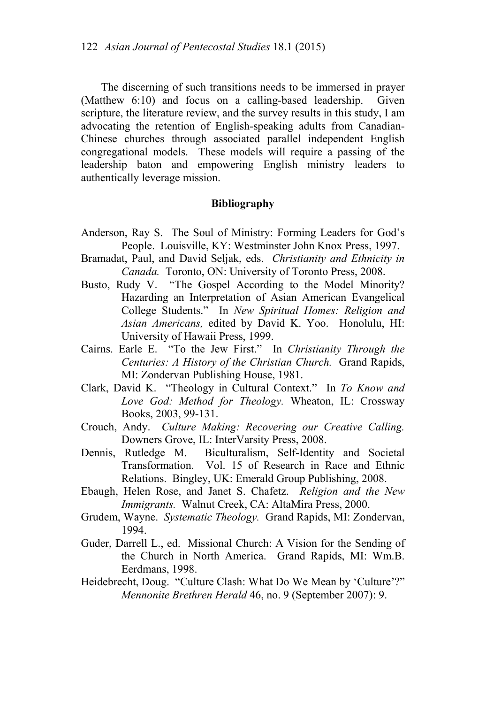The discerning of such transitions needs to be immersed in prayer (Matthew 6:10) and focus on a calling-based leadership. Given scripture, the literature review, and the survey results in this study, I am advocating the retention of English-speaking adults from Canadian-Chinese churches through associated parallel independent English congregational models. These models will require a passing of the leadership baton and empowering English ministry leaders to authentically leverage mission.

#### **Bibliography**

- Anderson, Ray S. The Soul of Ministry: Forming Leaders for God's People. Louisville, KY: Westminster John Knox Press, 1997.
- Bramadat, Paul, and David Seljak, eds. *Christianity and Ethnicity in Canada.* Toronto, ON: University of Toronto Press, 2008.
- Busto, Rudy V. "The Gospel According to the Model Minority? Hazarding an Interpretation of Asian American Evangelical College Students." In *New Spiritual Homes: Religion and Asian Americans,* edited by David K. Yoo. Honolulu, HI: University of Hawaii Press, 1999.
- Cairns. Earle E. "To the Jew First." In *Christianity Through the Centuries: A History of the Christian Church.* Grand Rapids, MI: Zondervan Publishing House, 1981.
- Clark, David K. "Theology in Cultural Context." In *To Know and Love God: Method for Theology.* Wheaton, IL: Crossway Books, 2003, 99-131.
- Crouch, Andy. *Culture Making: Recovering our Creative Calling.*  Downers Grove, IL: InterVarsity Press, 2008.
- Dennis, Rutledge M. Biculturalism, Self-Identity and Societal Transformation. Vol. 15 of Research in Race and Ethnic Relations. Bingley, UK: Emerald Group Publishing, 2008.
- Ebaugh, Helen Rose, and Janet S. Chafetz. *Religion and the New Immigrants.* Walnut Creek, CA: AltaMira Press, 2000.
- Grudem, Wayne. *Systematic Theology.* Grand Rapids, MI: Zondervan, 1994.
- Guder, Darrell L., ed. Missional Church: A Vision for the Sending of the Church in North America. Grand Rapids, MI: Wm.B. Eerdmans, 1998.
- Heidebrecht, Doug. "Culture Clash: What Do We Mean by 'Culture'?" *Mennonite Brethren Herald* 46, no. 9 (September 2007): 9.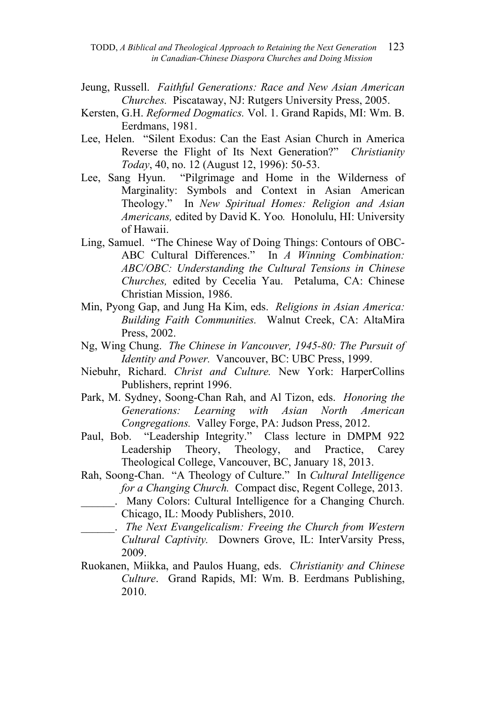TODD, *A Biblical and Theological Approach to Retaining the Next Generation* 123  *in Canadian-Chinese Diaspora Churches and Doing Mission* 

- Jeung, Russell. *Faithful Generations: Race and New Asian American Churches.* Piscataway, NJ: Rutgers University Press, 2005.
- Kersten, G.H. *Reformed Dogmatics.* Vol. 1. Grand Rapids, MI: Wm. B. Eerdmans, 1981.
- Lee, Helen. "Silent Exodus: Can the East Asian Church in America Reverse the Flight of Its Next Generation?" *Christianity Today*, 40, no. 12 (August 12, 1996): 50-53.
- Lee, Sang Hyun. "Pilgrimage and Home in the Wilderness of Marginality: Symbols and Context in Asian American Theology." In *New Spiritual Homes: Religion and Asian Americans,* edited by David K. Yoo*.* Honolulu, HI: University of Hawaii.
- Ling, Samuel. "The Chinese Way of Doing Things: Contours of OBC-ABC Cultural Differences." In *A Winning Combination: ABC/OBC: Understanding the Cultural Tensions in Chinese Churches,* edited by Cecelia Yau. Petaluma, CA: Chinese Christian Mission, 1986.
- Min, Pyong Gap, and Jung Ha Kim, eds. *Religions in Asian America: Building Faith Communities.* Walnut Creek, CA: AltaMira Press, 2002.
- Ng, Wing Chung. *The Chinese in Vancouver, 1945-80: The Pursuit of Identity and Power.* Vancouver, BC: UBC Press, 1999.
- Niebuhr, Richard. *Christ and Culture.* New York: HarperCollins Publishers, reprint 1996.
- Park, M. Sydney, Soong-Chan Rah, and Al Tizon, eds. *Honoring the Generations: Learning with Asian North American Congregations.* Valley Forge, PA: Judson Press, 2012.
- Paul, Bob. "Leadership Integrity." Class lecture in DMPM 922 Leadership Theory, Theology, and Practice, Carey Theological College, Vancouver, BC, January 18, 2013.
- Rah, Soong-Chan. "A Theology of Culture." In *Cultural Intelligence for a Changing Church.* Compact disc, Regent College, 2013.
	- \_\_\_\_\_\_. Many Colors: Cultural Intelligence for a Changing Church. Chicago, IL: Moody Publishers, 2010.
- \_\_\_\_\_\_. *The Next Evangelicalism: Freeing the Church from Western Cultural Captivity.* Downers Grove, IL: InterVarsity Press, 2009.
- Ruokanen, Miikka, and Paulos Huang, eds. *Christianity and Chinese Culture*. Grand Rapids, MI: Wm. B. Eerdmans Publishing, 2010.